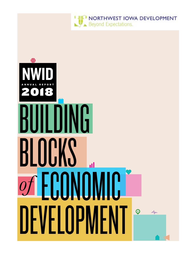

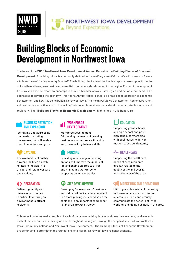

# Building Blocks of Economic Development in Northwest Iowa

The focus of the **2018 Northwest Iowa Development Annual Report** is the **Building Blocks of Economic Development**. A building block is commonly defined as "*something essential that fits with others to form a whole and on which a larger entity is based.*" The building blocks described in this report via examples throughout Northwest Iowa, are considered essential to economic development in our region. Economic development has evolved over the years to encompass a much broader array of strategies and actions that need to be addressed to develop the economy. This year's Annual Report reflects a broad based approach to economic development and how it is being built in Northwest Iowa. The Northwest Iowa Development Regional Partnership supports and actively participates in efforts to implement economic development strategies locally and regionally. The "**Building Blocks of Economic Development**" highlighted in this Report are:

#### BUSINESS RETENTION AND EXPANSION

Identifying and addressing the needs of existing businesses that will enable them to maintain and grow;



The availability of quality daycare facilities directly relates to the ability to attract and retain workers and families;

### **OIO** RECREATION

Delivering family and leisure opportunities is critical to offering an environment to attract residents;

#### WORKFORCE DEVELOPMENT

Workforce Development-Addressing the needs of growing businesses for workers with skills and, those willing to learn skills;

#### **HOUSING**

Providing a full range of housing options will improve the quality of life and enable an area to attract and maintain a workforce to support growing companies;

#### $\bullet$ SITE DEVELOPMENT

Developing "shovel-ready" business and industrial parks is the equivalent to a store placing merchandise on the shelf and is an important component to an area growth strategy;



Supporting great schools and high school and posthigh school partnerships with businesses to deliver market-based curriculums;

#### $M<sub>W</sub>$  HEALTHCARE

Supporting the healthcare needs of area residents directly relates to the quality of life and overall attractiveness of the area;

# MARKETING AND PROMOTION

Utilizing a wide variety of marketing tools available, it is important for an area to clearly and proudly communicate the benefits of living, working, and doing business in the area.

This report includes real examples of each of the above building blocks and how they are being addressed in each of the six counties in the region and, throughout the region, through the cooperative efforts of Northwest Iowa Community College and Northwest Iowa Development. The Building Blocks of Economic Development are continuing to strengthen the foundations of a vibrant Northwest Iowa regional economy.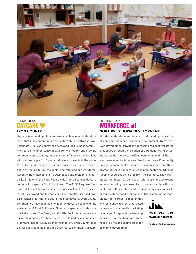

#### BUILDING BLOCK **DAYCARE LYON COUNTY**

Daycare is a building block for sustainable economic development that many communities struggle with in northwest Iowa. Fortunately, in Lyon County, residents and the business community realize the importance of daycare to a healthy and growing community and economy. In Lyon County, 74 percent of families with children ages 0 to 5 years old have all parents in the workforce. That makes daycare – center -based or in-home – essential to attracting future residents, and retaining our workforce. Recently, Rock Rapids and its businesses and residents invested \$2.5 million in the Rock Rapids Kids Club, a licensed daycare center with capacity for 166 children. The 11,500 square foot, state-of-the-art daycare opened its doors in June 2016. The cities of Larchwood and Inwood each have smaller licensed daycare centers, but there is still a need for daycare. Lyon County communities have been able to quantify daycare needs with the assistance of First Children's Finance, a specialist in daycare market studies. The George and Little Rock communities are currently planning for their daycare needs and have conducted a daycare market study as their foundation. Lyon County sees daycare as a building block and essential to community growth.

#### BUILDING BLOCK WORKFORCE **III NORTHWEST IOWA DEVELOPMENT**

Workforce development is a crucial building block for strong and sustained economic development. Northwest Iowa Development (NWID) is addressing regional workforce challenges through the creation of a Regional Manufacturing Sector Partnership. NWID is teaming up with 11 Northwest Iowa manufacturers and Northwest Iowa Community College to implement a unique action plan aimed directly at promoting career opportunities in manufacturing. Utilizing funding resources generated from the partners, a new Manufacturing Sector Career Coach, with a strong background in manufacturing, has been hired to work directly with students and others interested in manufacturing careers to pursue high demand occupations. The promotion of man-

ufacturing career opportunities will be supported by a targeted online and social media marketing campaign. A regional partnership approach to tackling workforce needs is a major building block for economic development.



**Career Opportunities Bevond Expectations**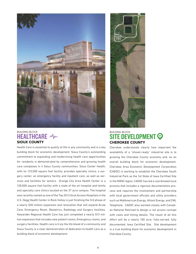

#### BUILDING BLOCK **HEALTHCARE MM SIOUX COUNTY**

Health Care is essential to quality of life in any community and is a key building block for economic development. Sioux County's outstanding commitment to expanding and modernizing health care opportunities for residents is demonstrated by comprehensive and growing health care complexes in 4 Sioux County communities. Sioux Center Health, with its 123,500 square foot facility, provides specialty clinics, a surgery center, an emergency facility and inpatient care, as well as services and facilities for seniors. Orange City Area Health Center is a 128,000 square foot facility with a state of the art hospital and family and specialty care clinics located on the 37 acre campus. The hospital was recently named as one of the Top 20 Critical Access Hospitals in the U.S. Hegg Health Center in Rock Valley is just finishing the 3rd phase of a nearly \$30 million expansion and renovation that will expand Acute Care, Emergency Room, Obstetrics, Radiology and Surgery facilities. Hawarden Regional Health Care has just completed a nearly \$13 million expansion that includes new patient rooms, Emergency rooms, and surgery facilities. Health care is truly the life blood of a community and Sioux County is a clear demonstration of dedication to health care as a building block of economic development.



### BUILDING BLOCK SITE DEVELOPMENT <sup>O</sup> **CHEROKEE COUNTY**

Cherokee understands clearly how important the availability of a "shovel-ready" industrial site is to growing the Cherokee County economy and, as an overall building block for economic development. Cherokee Area Economic Development Corporation (CAEDC) is working to establish the Cherokee South Industrial Park as the 1st State of Iowa Certified Site in the NWID region. CAEDC has led a coordinated local process that includes a rigorous documentation process and requires the involvement and partnership with local government officials and utility providers such as MidAmerican Energy, Alliant Energy, and CML Telephone. CAEDC also worked closely with Canadian National Railroad to design a rail access concept with costs and timing details. The result of all this effort will be a nearly 100 acre, fully-served, fully documented, Iowa Certified Site. Site development is a true building block for economic development in Cherokee County.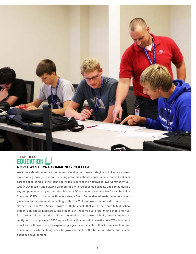

#### BUILDING BLOCK EDUCATION **NORTHWEST IOWA COMMUNITY COLLEGE**

Workforce development and economic development are strategically linked as cornerstones of a growing economy. Creating great educational opportunities that will enhance career opportunities in the technical trades is part of the Northwest Iowa Community College (NCC) mission and building partnerships with regional high schools and companies is a key component to carrying out this mission. NCC has begun a cooperative Career Technical Education (CTE) curriculum with Interstates, a Sioux Center-based leader in industrial engineering and operational technology with over 900 employees nationwide, Sioux Center, Boyden-Hull, and West Sioux (Hawarden) High Schools that will be delivered to high school students on-site at Interstates. The students will receive dual credit (high school and NCC) for courses related to industrial instrumentation and controls initially. Interstates is currently constructing a new 17,000 square foot facility that will house the new CTE educational effort and will have room for expanded programs and also for other businesses to utilize. Education is a vital building block to grow and nurture the future workforce and sustain economic development.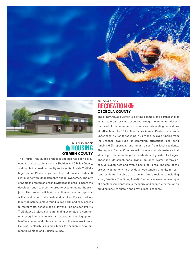



### BUILDING BLOCK HOUSING **O'BRIEN COUNTY**

The Prairie Trail Village project in Sheldon has been developed to address a clear need in Sheldon and O'Brien County, and that is the need for quality rental units. Prairie Trail Village is a two Phase project and the first phase includes 38 rental units with 30 apartments and 8 townhomes. The City of Sheldon created an urban revitalization area to incent the developer and rezoned the area to accommodate the project. The project will feature a village- type concept that will appeal to both individuals and families. Prairie Trail Village will include a playground, a dog park, and easy access to restaurants, schools and highways. The Sheldon Prairie Trail Village project is an outstanding example of a community recognizing the importance of creating housing options to offer current and future members of the area workforce. Housing is clearly a building block for economic development in Sheldon and O'Brien County.

### BUILDING BLOCK **RECREATION OF OSCEOLA COUNTY**

The Sibley Aquatic Center is a prime example of a partnership of local, state and private resources brought together to address the need of the community to create an outstanding recreational attraction. The \$2.1 million Sibley Aquatic Center is currently under construction for opening in 2019 and involves funding from the Enhance Iowa Fund for community attractions, local bond funding (85% approval) and funds raised from local residents. The Aquatic Center Complex will include multiple features that should provide something for residents and guests of all ages. Those include splash pads, diving, lap lanes, water therapy areas, volleyball nets and even a basketball area. The goal of the project was not only to provide an outstanding amenity for current residents, but also as a draw for future residents, including young families. The Sibley Aquatic Center is an excellent example of a partnership approach to recognize and address recreation as building block to sustain and grow a local economy.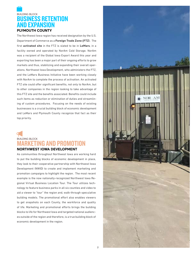# BUILDING BLOCK BUSINESS RETENTION AND EXPANSION **PLYMOUTH COUNTY**

The Northwest Iowa region has received designation by the U.S. Department of Commerce as a **Foreign Trade Zone (FTZ**). The first **activated site** in the FTZ is slated to be in **LeMars**, in a facility owned and operated by NorAm Cold Storage. NorAm was a recipient of the Global Iowa Export Award this year and exporting has been a major part of their ongoing efforts to grow markets and thus, stabilizing and expanding their overall operations. Northwest Iowa Development, who administers the FTZ, and the LeMars Business Initiative have been working closely with NorAm to complete the process of activation. An activated FTZ site could offer significant benefits, not only to NorAm, but to other companies in the region looking to take advantage of this FTZ site and the benefits associated. Benefits could include such items as reduction or elimination of duties and streamlining of custom procedures. Focusing on the needs of existing businesses is a crucial building block of economic development and LeMars and Plymouth County recognize that fact as their top priority.

# BUILDING BLOCK RKETING AND PROMO' **NORTHWEST IOWA DEVELOPMENT**

As communities throughout Northwest Iowa are working hard to put the building blocks of economic development in place, they look to their cooperative partnership with Northwest Iowa Development (NWID) to create and implement marketing and promotion campaigns to highlight the region. The most recent example is the now nationally-recognized Northwest Iowa Regional Virtual Business Location Tour. The Tour utilizes technology to feature business parks in all six counties and video to aid a viewer to "tour" the region and, walk-through speculative building models. The promotional effort also enables viewers to get snapshots on each County, the workforce and quality of life. Marketing and promotional efforts brings the building blocks to life for Northwest Iowa and targeted national audiences outside of the region and therefore, is a true building block of economic development in the region.